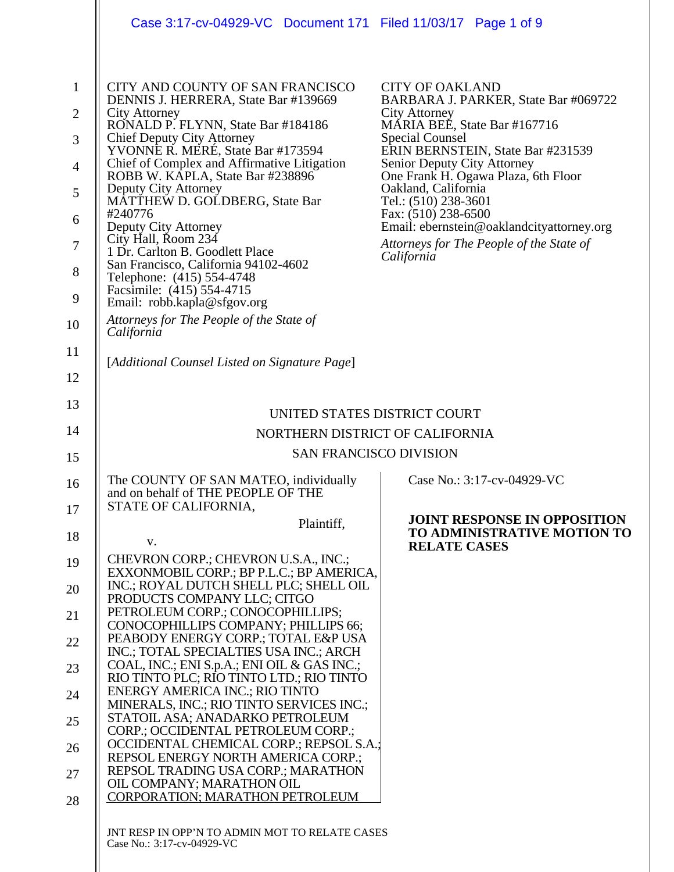|                                                                                                   | Case 3:17-cv-04929-VC Document 171 Filed 11/03/17 Page 1 of 9                                                                                                                                                                                                                                                                                                                                                                                                                                                                                                                                                                    |                                                                                                                                                                                                                                                                                                                                                                                                                                          |
|---------------------------------------------------------------------------------------------------|----------------------------------------------------------------------------------------------------------------------------------------------------------------------------------------------------------------------------------------------------------------------------------------------------------------------------------------------------------------------------------------------------------------------------------------------------------------------------------------------------------------------------------------------------------------------------------------------------------------------------------|------------------------------------------------------------------------------------------------------------------------------------------------------------------------------------------------------------------------------------------------------------------------------------------------------------------------------------------------------------------------------------------------------------------------------------------|
| $\mathbf{1}$<br>$\overline{2}$<br>3<br>$\overline{4}$<br>5<br>6<br>$\overline{7}$<br>8<br>9<br>10 | CITY AND COUNTY OF SAN FRANCISCO<br>DENNIS J. HERRERA, State Bar #139669<br><b>City Attorney</b><br>RONALD P. FLYNN, State Bar #184186<br>Chief Deputy City Attorney<br>YVONNE R. MERÉ, State Bar #173594<br>Chief of Complex and Affirmative Litigation<br>ROBB W. KĀPLA, State Bar #238896<br>Deputy City Attorney<br>MATTHEW D. GOLDBERG, State Bar<br>#240776<br>Deputy City Attorney<br>City Hall, Room 234<br>1 Dr. Carlton B. Goodlett Place<br>San Francisco, California 94102-4602<br>Telephone: (415) 554-4748<br>Facsimile: (415) 554-4715<br>Email: robb.kapla@sfgov.org<br>Attorneys for The People of the State of | <b>CITY OF OAKLAND</b><br>BARBARA J. PARKER, State Bar #069722<br><b>City Attorney</b><br>MÁRIA BEÉ, State Bar #167716<br><b>Special Counsel</b><br>ERIN BERNSTEIN, State Bar #231539<br>Senior Deputy City Attorney<br>One Frank H. Ogawa Plaza, 6th Floor<br>Oakland, California<br>Tel.: (510) 238-3601<br>Fax: (510) 238-6500<br>Email: ebernstein@oaklandcityattorney.org<br>Attorneys for The People of the State of<br>California |
| 11                                                                                                | California<br>[Additional Counsel Listed on Signature Page]                                                                                                                                                                                                                                                                                                                                                                                                                                                                                                                                                                      |                                                                                                                                                                                                                                                                                                                                                                                                                                          |
| 12                                                                                                |                                                                                                                                                                                                                                                                                                                                                                                                                                                                                                                                                                                                                                  |                                                                                                                                                                                                                                                                                                                                                                                                                                          |
| 13                                                                                                | UNITED STATES DISTRICT COURT                                                                                                                                                                                                                                                                                                                                                                                                                                                                                                                                                                                                     |                                                                                                                                                                                                                                                                                                                                                                                                                                          |
| 14                                                                                                | NORTHERN DISTRICT OF CALIFORNIA                                                                                                                                                                                                                                                                                                                                                                                                                                                                                                                                                                                                  |                                                                                                                                                                                                                                                                                                                                                                                                                                          |
| 15                                                                                                | <b>SAN FRANCISCO DIVISION</b>                                                                                                                                                                                                                                                                                                                                                                                                                                                                                                                                                                                                    |                                                                                                                                                                                                                                                                                                                                                                                                                                          |
| 16                                                                                                | The COUNTY OF SAN MATEO, individually<br>and on behalf of THE PEOPLE OF THE<br>STATE OF CALIFORNIA,                                                                                                                                                                                                                                                                                                                                                                                                                                                                                                                              | Case No.: 3:17-cv-04929-VC                                                                                                                                                                                                                                                                                                                                                                                                               |
| 17                                                                                                | Plaintiff,                                                                                                                                                                                                                                                                                                                                                                                                                                                                                                                                                                                                                       | <b>JOINT RESPONSE IN OPPOSITION</b>                                                                                                                                                                                                                                                                                                                                                                                                      |
| 18                                                                                                | V.                                                                                                                                                                                                                                                                                                                                                                                                                                                                                                                                                                                                                               | TO ADMINISTRATIVE MOTION TO<br><b>RELATE CASES</b>                                                                                                                                                                                                                                                                                                                                                                                       |
| 19<br>20                                                                                          | CHEVRON CORP.; CHEVRON U.S.A., INC.;<br>EXXONMOBIL CORP.; BP P.L.C.; BP AMERICA,<br>INC.; ROYAL DUTCH SHELL PLC; SHELL OIL                                                                                                                                                                                                                                                                                                                                                                                                                                                                                                       |                                                                                                                                                                                                                                                                                                                                                                                                                                          |
| 21                                                                                                | PRODUCTS COMPANY LLC; CITGO<br>PETROLEUM CORP.; CONOCOPHILLIPS;<br>CONOCOPHILLIPS COMPANY; PHILLIPS 66;                                                                                                                                                                                                                                                                                                                                                                                                                                                                                                                          |                                                                                                                                                                                                                                                                                                                                                                                                                                          |
| 22                                                                                                | PEABODY ENERGY CORP.; TOTAL E&P USA<br>INC.; TOTAL SPECIALTIES USA INC.; ARCH                                                                                                                                                                                                                                                                                                                                                                                                                                                                                                                                                    |                                                                                                                                                                                                                                                                                                                                                                                                                                          |
| 23                                                                                                | COAL, INC.; ENI S.p.A.; ENI OIL & GAS INC.;<br>RIO TINTO PLC; RIO TINTO LTD.; RIO TINTO                                                                                                                                                                                                                                                                                                                                                                                                                                                                                                                                          |                                                                                                                                                                                                                                                                                                                                                                                                                                          |
| 24                                                                                                | <b>ENERGY AMERICA INC.; RIO TINTO</b><br>MINERALS, INC.; RIO TINTO SERVICES INC.;                                                                                                                                                                                                                                                                                                                                                                                                                                                                                                                                                |                                                                                                                                                                                                                                                                                                                                                                                                                                          |
| 25                                                                                                | STATOIL ASA; ANADARKO PETROLEUM<br>CORP.; OCCIDENTAL PETROLEUM CORP.;                                                                                                                                                                                                                                                                                                                                                                                                                                                                                                                                                            |                                                                                                                                                                                                                                                                                                                                                                                                                                          |
| 26                                                                                                | OCCIDENTAL CHEMICAL CORP.; REPSOL S.A.;                                                                                                                                                                                                                                                                                                                                                                                                                                                                                                                                                                                          |                                                                                                                                                                                                                                                                                                                                                                                                                                          |
| 27                                                                                                | REPSOL ENERGY NORTH AMERICA CORP.;<br>REPSOL TRADING USA CORP.; MARATHON                                                                                                                                                                                                                                                                                                                                                                                                                                                                                                                                                         |                                                                                                                                                                                                                                                                                                                                                                                                                                          |
| 28                                                                                                | OIL COMPANY; MARATHON OIL<br><b>CORPORATION; MARATHON PETROLEUM</b>                                                                                                                                                                                                                                                                                                                                                                                                                                                                                                                                                              |                                                                                                                                                                                                                                                                                                                                                                                                                                          |
|                                                                                                   |                                                                                                                                                                                                                                                                                                                                                                                                                                                                                                                                                                                                                                  |                                                                                                                                                                                                                                                                                                                                                                                                                                          |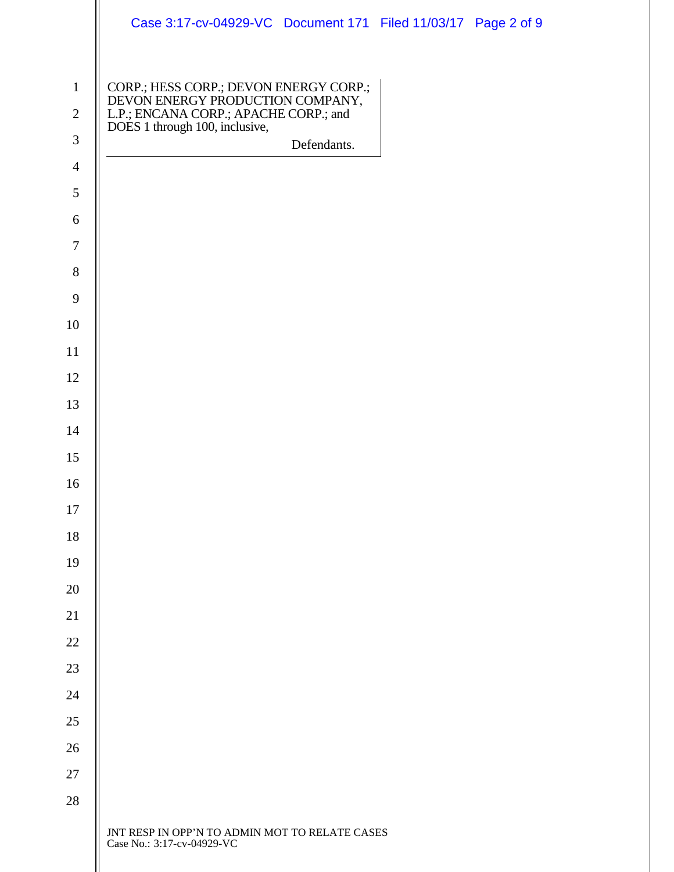|                                              | Case 3:17-cv-04929-VC Document 171 Filed 11/03/17 Page 2 of 9                                                                                         |  |
|----------------------------------------------|-------------------------------------------------------------------------------------------------------------------------------------------------------|--|
| $\mathbf{1}$<br>$\sqrt{2}$<br>$\mathfrak{Z}$ | CORP.; HESS CORP.; DEVON ENERGY CORP.;<br>DEVON ENERGY PRODUCTION COMPANY,<br>L.P.; ENCANA CORP.; APACHE CORP.; and<br>DOES 1 through 100, inclusive, |  |
| $\overline{4}$                               | Defendants.                                                                                                                                           |  |
| 5                                            |                                                                                                                                                       |  |
| 6                                            |                                                                                                                                                       |  |
| $\boldsymbol{7}$                             |                                                                                                                                                       |  |
| $8\,$                                        |                                                                                                                                                       |  |
| $\mathbf{9}$                                 |                                                                                                                                                       |  |
| 10                                           |                                                                                                                                                       |  |
| 11                                           |                                                                                                                                                       |  |
| 12                                           |                                                                                                                                                       |  |
| 13                                           |                                                                                                                                                       |  |
| 14                                           |                                                                                                                                                       |  |
| 15                                           |                                                                                                                                                       |  |
| 16                                           |                                                                                                                                                       |  |
| 17                                           |                                                                                                                                                       |  |
| 18                                           |                                                                                                                                                       |  |
| 19                                           |                                                                                                                                                       |  |
| 20                                           |                                                                                                                                                       |  |
| 21                                           |                                                                                                                                                       |  |
| 22                                           |                                                                                                                                                       |  |
| 23                                           |                                                                                                                                                       |  |
| 24                                           |                                                                                                                                                       |  |
| 25                                           |                                                                                                                                                       |  |
| 26                                           |                                                                                                                                                       |  |
| 27                                           |                                                                                                                                                       |  |
| 28                                           |                                                                                                                                                       |  |
|                                              | JNT RESP IN OPP'N TO ADMIN MOT TO RELATE CASES<br>Case No.: 3:17-cv-04929-VC                                                                          |  |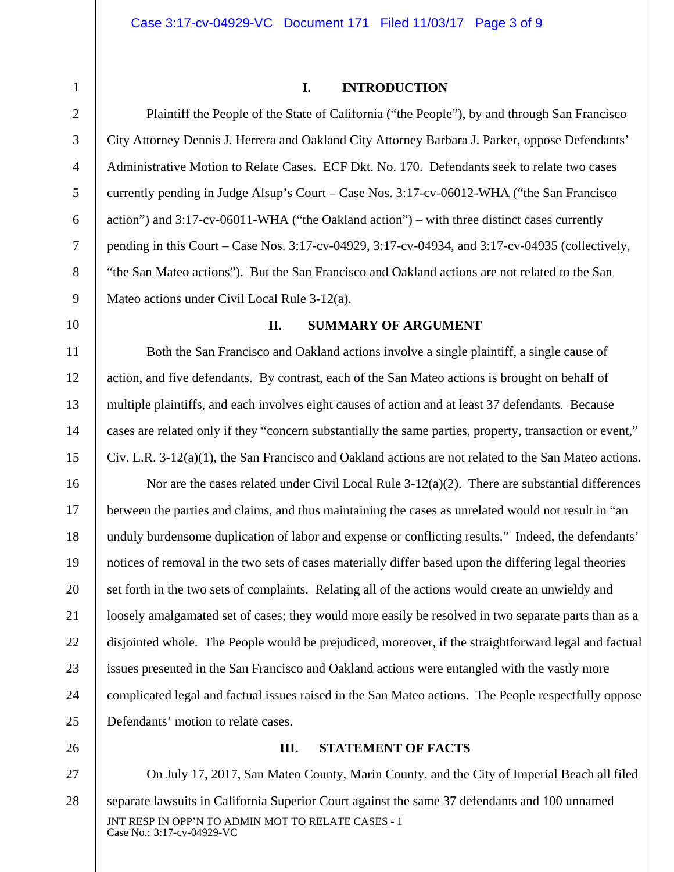### **I. INTRODUCTION**

Plaintiff the People of the State of California ("the People"), by and through San Francisco City Attorney Dennis J. Herrera and Oakland City Attorney Barbara J. Parker, oppose Defendants' Administrative Motion to Relate Cases. ECF Dkt. No. 170. Defendants seek to relate two cases currently pending in Judge Alsup's Court – Case Nos. 3:17-cv-06012-WHA ("the San Francisco action") and 3:17-cv-06011-WHA ("the Oakland action") – with three distinct cases currently pending in this Court – Case Nos. 3:17-cv-04929, 3:17-cv-04934, and 3:17-cv-04935 (collectively, "the San Mateo actions"). But the San Francisco and Oakland actions are not related to the San Mateo actions under Civil Local Rule 3-12(a).

1

2

3

4

5

6

7

8

9

10

11

12

13

14

15

26

#### **II. SUMMARY OF ARGUMENT**

Both the San Francisco and Oakland actions involve a single plaintiff, a single cause of action, and five defendants. By contrast, each of the San Mateo actions is brought on behalf of multiple plaintiffs, and each involves eight causes of action and at least 37 defendants. Because cases are related only if they "concern substantially the same parties, property, transaction or event," Civ. L.R. 3-12(a)(1), the San Francisco and Oakland actions are not related to the San Mateo actions.

16 17 18 19 20 21 22 23 24 25 Nor are the cases related under Civil Local Rule 3-12(a)(2). There are substantial differences between the parties and claims, and thus maintaining the cases as unrelated would not result in "an unduly burdensome duplication of labor and expense or conflicting results." Indeed, the defendants' notices of removal in the two sets of cases materially differ based upon the differing legal theories set forth in the two sets of complaints. Relating all of the actions would create an unwieldy and loosely amalgamated set of cases; they would more easily be resolved in two separate parts than as a disjointed whole. The People would be prejudiced, moreover, if the straightforward legal and factual issues presented in the San Francisco and Oakland actions were entangled with the vastly more complicated legal and factual issues raised in the San Mateo actions. The People respectfully oppose Defendants' motion to relate cases.

# **III. STATEMENT OF FACTS**

JNT RESP IN OPP'N TO ADMIN MOT TO RELATE CASES - 1 Case No.: 3:17-cv-04929-VC 27 28 On July 17, 2017, San Mateo County, Marin County, and the City of Imperial Beach all filed separate lawsuits in California Superior Court against the same 37 defendants and 100 unnamed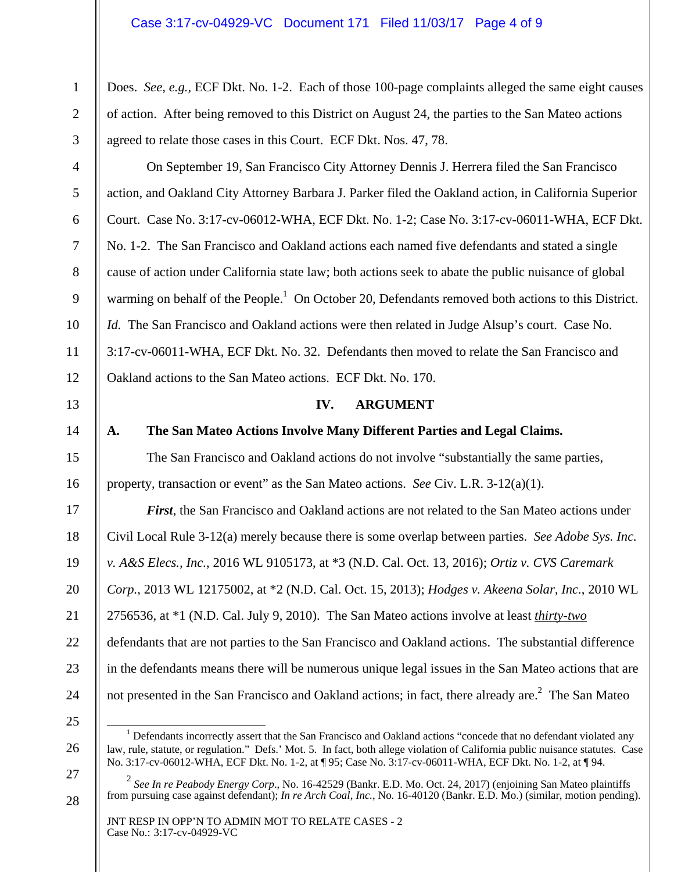| $\mathbf{1}$   | Does. See, e.g., ECF Dkt. No. 1-2. Each of those 100-page complaints alleged the same eight causes                                                                                                                                         |
|----------------|--------------------------------------------------------------------------------------------------------------------------------------------------------------------------------------------------------------------------------------------|
| $\mathbf{2}$   | of action. After being removed to this District on August 24, the parties to the San Mateo actions                                                                                                                                         |
| 3              | agreed to relate those cases in this Court. ECF Dkt. Nos. 47, 78.                                                                                                                                                                          |
| $\overline{4}$ | On September 19, San Francisco City Attorney Dennis J. Herrera filed the San Francisco                                                                                                                                                     |
| $\mathfrak{S}$ | action, and Oakland City Attorney Barbara J. Parker filed the Oakland action, in California Superior                                                                                                                                       |
| 6              | Court. Case No. 3:17-cv-06012-WHA, ECF Dkt. No. 1-2; Case No. 3:17-cv-06011-WHA, ECF Dkt.                                                                                                                                                  |
| $\tau$         | No. 1-2. The San Francisco and Oakland actions each named five defendants and stated a single                                                                                                                                              |
| $\,8\,$        | cause of action under California state law; both actions seek to abate the public nuisance of global                                                                                                                                       |
| 9              | warming on behalf of the People. <sup>1</sup> On October 20, Defendants removed both actions to this District.                                                                                                                             |
| 10             | <i>Id.</i> The San Francisco and Oakland actions were then related in Judge Alsup's court. Case No.                                                                                                                                        |
| 11             | 3:17-cv-06011-WHA, ECF Dkt. No. 32. Defendants then moved to relate the San Francisco and                                                                                                                                                  |
| 12             | Oakland actions to the San Mateo actions. ECF Dkt. No. 170.                                                                                                                                                                                |
| 13             | IV.<br><b>ARGUMENT</b>                                                                                                                                                                                                                     |
| 14             | The San Mateo Actions Involve Many Different Parties and Legal Claims.<br>A.                                                                                                                                                               |
| 15             | The San Francisco and Oakland actions do not involve "substantially the same parties,                                                                                                                                                      |
| 16             | property, transaction or event" as the San Mateo actions. See Civ. L.R. 3-12(a)(1).                                                                                                                                                        |
| 17             | First, the San Francisco and Oakland actions are not related to the San Mateo actions under                                                                                                                                                |
| 18             | Civil Local Rule 3-12(a) merely because there is some overlap between parties. See Adobe Sys. Inc.                                                                                                                                         |
| 19             | v. A&S Elecs., Inc., 2016 WL 9105173, at *3 (N.D. Cal. Oct. 13, 2016); Ortiz v. CVS Caremark                                                                                                                                               |
| 20             | Corp., 2013 WL 12175002, at *2 (N.D. Cal. Oct. 15, 2013); Hodges v. Akeena Solar, Inc., 2010 WL                                                                                                                                            |
| 21             | 2756536, at *1 (N.D. Cal. July 9, 2010). The San Mateo actions involve at least <i>thirty-two</i>                                                                                                                                          |
| 22             | defendants that are not parties to the San Francisco and Oakland actions. The substantial difference                                                                                                                                       |
| 23             | in the defendants means there will be numerous unique legal issues in the San Mateo actions that are                                                                                                                                       |
| 24             | not presented in the San Francisco and Oakland actions; in fact, there already are. <sup>2</sup> The San Mateo                                                                                                                             |
| 25             | <sup>1</sup> Defendants incorrectly assert that the San Francisco and Oakland actions "concede that no defendant violated any                                                                                                              |
| 26             | law, rule, statute, or regulation." Defs.' Mot. 5. In fact, both allege violation of California public nuisance statutes. Case<br>No. 3:17-cv-06012-WHA, ECF Dkt. No. 1-2, at ¶ 95; Case No. 3:17-cv-06011-WHA, ECF Dkt. No. 1-2, at ¶ 94. |
| 27             |                                                                                                                                                                                                                                            |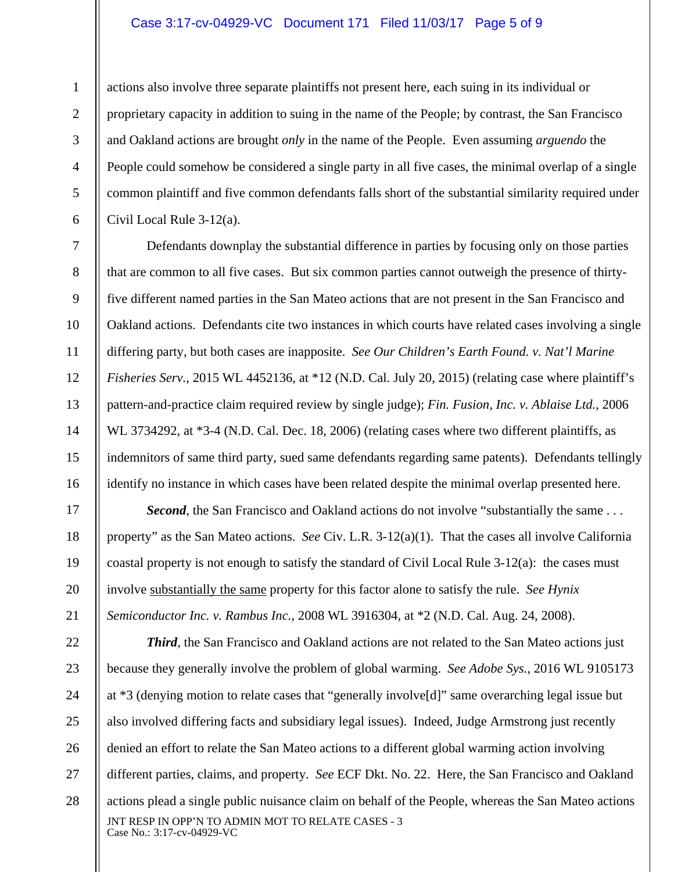### Case 3:17-cv-04929-VC Document 171 Filed 11/03/17 Page 5 of 9

1

2

3

4

5

6

7

8

9

10

11

12

13

14

15

16

17

18

19

20

21

25

27

actions also involve three separate plaintiffs not present here, each suing in its individual or proprietary capacity in addition to suing in the name of the People; by contrast, the San Francisco and Oakland actions are brought *only* in the name of the People. Even assuming *arguendo* the People could somehow be considered a single party in all five cases, the minimal overlap of a single common plaintiff and five common defendants falls short of the substantial similarity required under Civil Local Rule 3-12(a).

Defendants downplay the substantial difference in parties by focusing only on those parties that are common to all five cases. But six common parties cannot outweigh the presence of thirtyfive different named parties in the San Mateo actions that are not present in the San Francisco and Oakland actions. Defendants cite two instances in which courts have related cases involving a single differing party, but both cases are inapposite. *See Our Children's Earth Found. v. Nat'l Marine Fisheries Serv.*, 2015 WL 4452136, at \*12 (N.D. Cal. July 20, 2015) (relating case where plaintiff's pattern-and-practice claim required review by single judge); *Fin. Fusion, Inc. v. Ablaise Ltd.*, 2006 WL 3734292, at \*3-4 (N.D. Cal. Dec. 18, 2006) (relating cases where two different plaintiffs, as indemnitors of same third party, sued same defendants regarding same patents). Defendants tellingly identify no instance in which cases have been related despite the minimal overlap presented here.

**Second**, the San Francisco and Oakland actions do not involve "substantially the same... property" as the San Mateo actions. *See* Civ. L.R. 3-12(a)(1). That the cases all involve California coastal property is not enough to satisfy the standard of Civil Local Rule 3-12(a): the cases must involve substantially the same property for this factor alone to satisfy the rule. *See Hynix Semiconductor Inc. v. Rambus Inc.*, 2008 WL 3916304, at \*2 (N.D. Cal. Aug. 24, 2008).

JNT RESP IN OPP'N TO ADMIN MOT TO RELATE CASES - 3 Case No.: 3:17-cv-04929-VC 22 23 24 26 28 *Third*, the San Francisco and Oakland actions are not related to the San Mateo actions just because they generally involve the problem of global warming. *See Adobe Sys.*, 2016 WL 9105173 at \*3 (denying motion to relate cases that "generally involve[d]" same overarching legal issue but also involved differing facts and subsidiary legal issues). Indeed, Judge Armstrong just recently denied an effort to relate the San Mateo actions to a different global warming action involving different parties, claims, and property. *See* ECF Dkt. No. 22. Here, the San Francisco and Oakland actions plead a single public nuisance claim on behalf of the People, whereas the San Mateo actions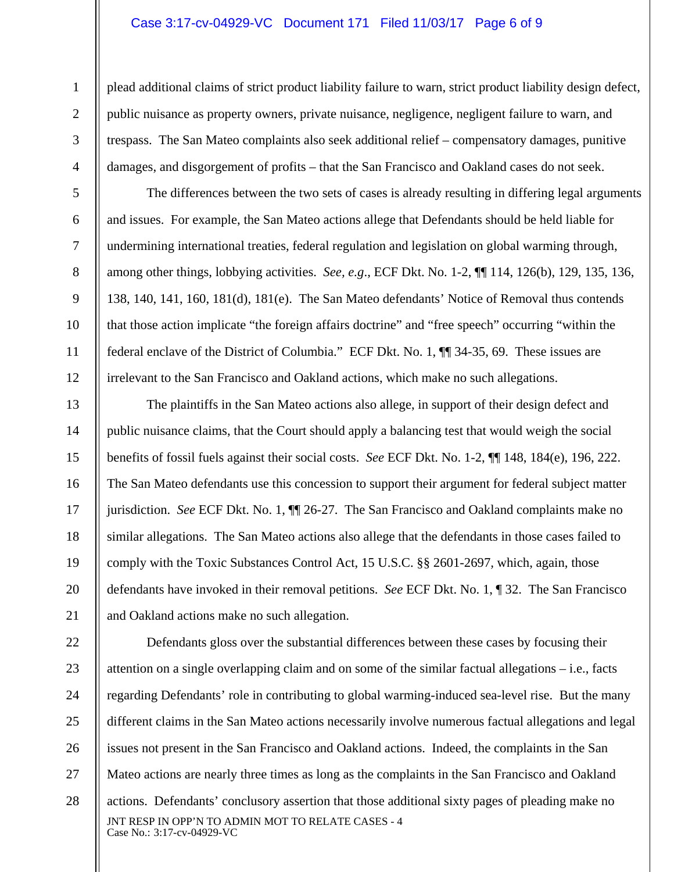#### Case 3:17-cv-04929-VC Document 171 Filed 11/03/17 Page 6 of 9

1

2

3

4

5

6

7

8

9

10

11

12

13

14

15

16

17

18

19

20

21

plead additional claims of strict product liability failure to warn, strict product liability design defect, public nuisance as property owners, private nuisance, negligence, negligent failure to warn, and trespass. The San Mateo complaints also seek additional relief – compensatory damages, punitive damages, and disgorgement of profits – that the San Francisco and Oakland cases do not seek.

The differences between the two sets of cases is already resulting in differing legal arguments and issues. For example, the San Mateo actions allege that Defendants should be held liable for undermining international treaties, federal regulation and legislation on global warming through, among other things, lobbying activities. *See, e.g*., ECF Dkt. No. 1-2, ¶¶ 114, 126(b), 129, 135, 136, 138, 140, 141, 160, 181(d), 181(e). The San Mateo defendants' Notice of Removal thus contends that those action implicate "the foreign affairs doctrine" and "free speech" occurring "within the federal enclave of the District of Columbia." ECF Dkt. No. 1, ¶¶ 34-35, 69. These issues are irrelevant to the San Francisco and Oakland actions, which make no such allegations.

The plaintiffs in the San Mateo actions also allege, in support of their design defect and public nuisance claims, that the Court should apply a balancing test that would weigh the social benefits of fossil fuels against their social costs. *See* ECF Dkt. No. 1-2, ¶¶ 148, 184(e), 196, 222. The San Mateo defendants use this concession to support their argument for federal subject matter jurisdiction. *See* ECF Dkt. No. 1, ¶¶ 26-27. The San Francisco and Oakland complaints make no similar allegations. The San Mateo actions also allege that the defendants in those cases failed to comply with the Toxic Substances Control Act, 15 U.S.C. §§ 2601-2697*,* which, again, those defendants have invoked in their removal petitions. *See* ECF Dkt. No. 1, ¶ 32. The San Francisco and Oakland actions make no such allegation.

JNT RESP IN OPP'N TO ADMIN MOT TO RELATE CASES - 4 Case No.: 3:17-cv-04929-VC 22 23 24 25 26 27 28 Defendants gloss over the substantial differences between these cases by focusing their attention on a single overlapping claim and on some of the similar factual allegations – i.e., facts regarding Defendants' role in contributing to global warming-induced sea-level rise. But the many different claims in the San Mateo actions necessarily involve numerous factual allegations and legal issues not present in the San Francisco and Oakland actions. Indeed, the complaints in the San Mateo actions are nearly three times as long as the complaints in the San Francisco and Oakland actions. Defendants' conclusory assertion that those additional sixty pages of pleading make no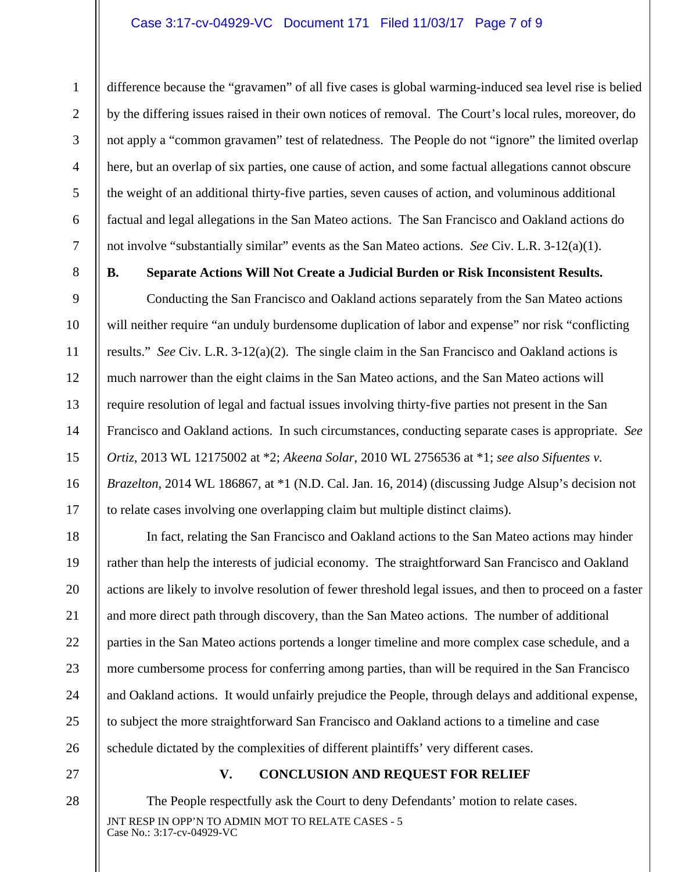## Case 3:17-cv-04929-VC Document 171 Filed 11/03/17 Page 7 of 9

difference because the "gravamen" of all five cases is global warming-induced sea level rise is belied by the differing issues raised in their own notices of removal. The Court's local rules, moreover, do not apply a "common gravamen" test of relatedness. The People do not "ignore" the limited overlap here, but an overlap of six parties, one cause of action, and some factual allegations cannot obscure the weight of an additional thirty-five parties, seven causes of action, and voluminous additional factual and legal allegations in the San Mateo actions. The San Francisco and Oakland actions do not involve "substantially similar" events as the San Mateo actions. *See* Civ. L.R. 3-12(a)(1).

1

2

3

4

5

6

7

8

9

10

11

12

13

14

15

16

17

18

19

20

21

22

23

24

25

26

# **B. Separate Actions Will Not Create a Judicial Burden or Risk Inconsistent Results.**

Conducting the San Francisco and Oakland actions separately from the San Mateo actions will neither require "an unduly burdensome duplication of labor and expense" nor risk "conflicting results." *See* Civ. L.R. 3-12(a)(2). The single claim in the San Francisco and Oakland actions is much narrower than the eight claims in the San Mateo actions, and the San Mateo actions will require resolution of legal and factual issues involving thirty-five parties not present in the San Francisco and Oakland actions. In such circumstances, conducting separate cases is appropriate. *See Ortiz*, 2013 WL 12175002 at \*2; *Akeena Solar*, 2010 WL 2756536 at \*1; *see also Sifuentes v. Brazelton*, 2014 WL 186867, at \*1 (N.D. Cal. Jan. 16, 2014) (discussing Judge Alsup's decision not to relate cases involving one overlapping claim but multiple distinct claims).

In fact, relating the San Francisco and Oakland actions to the San Mateo actions may hinder rather than help the interests of judicial economy. The straightforward San Francisco and Oakland actions are likely to involve resolution of fewer threshold legal issues, and then to proceed on a faster and more direct path through discovery, than the San Mateo actions. The number of additional parties in the San Mateo actions portends a longer timeline and more complex case schedule, and a more cumbersome process for conferring among parties, than will be required in the San Francisco and Oakland actions. It would unfairly prejudice the People, through delays and additional expense, to subject the more straightforward San Francisco and Oakland actions to a timeline and case schedule dictated by the complexities of different plaintiffs' very different cases.

27

# **V. CONCLUSION AND REQUEST FOR RELIEF**

JNT RESP IN OPP'N TO ADMIN MOT TO RELATE CASES - 5 Case No.: 3:17-cv-04929-VC The People respectfully ask the Court to deny Defendants' motion to relate cases.

28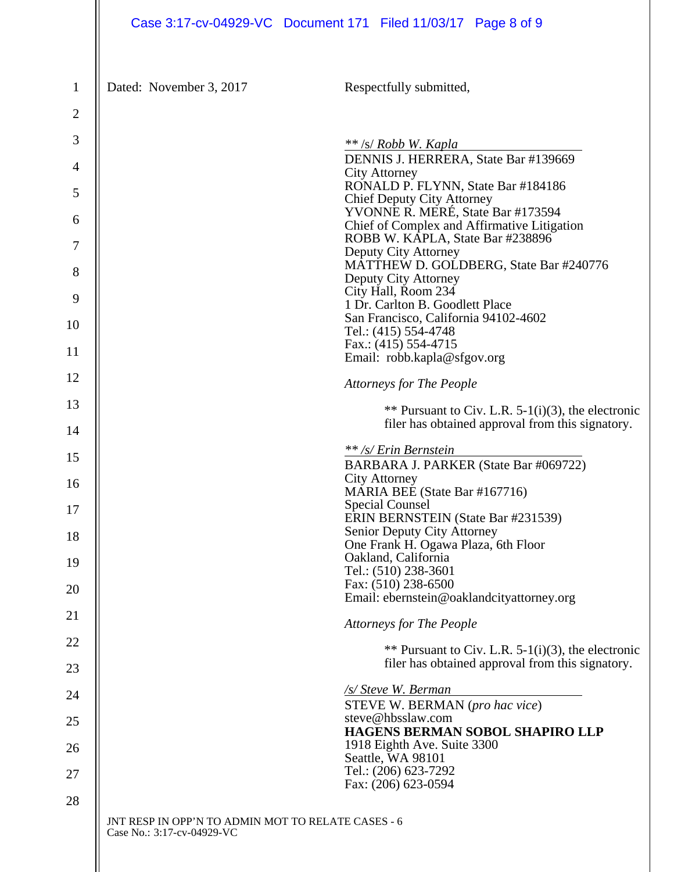|                | Case 3:17-cv-04929-VC Document 171 Filed 11/03/17 Page 8 of 9                                             |  |  |  |
|----------------|-----------------------------------------------------------------------------------------------------------|--|--|--|
| $\mathbf{1}$   | Dated: November 3, 2017<br>Respectfully submitted,                                                        |  |  |  |
| $\mathbf{2}$   |                                                                                                           |  |  |  |
| 3              | $**$ /s/ Robb W. Kapla                                                                                    |  |  |  |
| $\overline{4}$ | DENNIS J. HERRERA, State Bar #139669<br><b>City Attorney</b>                                              |  |  |  |
| 5              | RONALD P. FLYNN, State Bar #184186<br><b>Chief Deputy City Attorney</b>                                   |  |  |  |
| 6              | YVONNE R. MERÉ, State Bar #173594<br>Chief of Complex and Affirmative Litigation                          |  |  |  |
| 7              | ROBB W. KAPLA, State Bar #238896<br>Deputy City Attorney                                                  |  |  |  |
| 8              | MATTHEW D. GOLDBERG, State Bar #240776<br>Deputy City Attorney                                            |  |  |  |
| 9              | City Hall, Room 234<br>1 Dr. Carlton B. Goodlett Place                                                    |  |  |  |
| 10             | San Francisco, California 94102-4602<br>Tel.: (415) 554-4748                                              |  |  |  |
| 11             | Fax.: $(415)$ 554-4715<br>Email: robb.kapla@sfgov.org                                                     |  |  |  |
| 12             | <b>Attorneys for The People</b>                                                                           |  |  |  |
| 13             | ** Pursuant to Civ. L.R. 5-1(i)(3), the electronic                                                        |  |  |  |
| 14             | filer has obtained approval from this signatory.                                                          |  |  |  |
| 15             | ** /s/ Erin Bernstein<br>BARBARA J. PARKER (State Bar #069722)                                            |  |  |  |
| 16             | <b>City Attorney</b>                                                                                      |  |  |  |
| 17             | MARIA BEE (State Bar #167716)<br>Special Counsel                                                          |  |  |  |
| 18             | ERIN BERNSTEIN (State Bar #231539)<br>Senior Deputy City Attorney                                         |  |  |  |
| 19             | One Frank H. Ogawa Plaza, 6th Floor<br>Oakland, California                                                |  |  |  |
| 20             | Tel.: (510) 238-3601<br>Fax: (510) 238-6500                                                               |  |  |  |
| 21             | Email: ebernstein@oaklandcityattorney.org                                                                 |  |  |  |
| 22             | <b>Attorneys for The People</b>                                                                           |  |  |  |
| 23             | ** Pursuant to Civ. L.R. $5-1(i)(3)$ , the electronic<br>filer has obtained approval from this signatory. |  |  |  |
| 24             | /s/ Steve W. Berman                                                                                       |  |  |  |
| 25             | STEVE W. BERMAN (pro hac vice)<br>steve@hbsslaw.com                                                       |  |  |  |
| 26             | HAGENS BERMAN SOBOL SHAPIRO LLP<br>1918 Eighth Ave. Suite 3300                                            |  |  |  |
| 27             | Seattle, WA 98101<br>Tel.: (206) 623-7292                                                                 |  |  |  |
| 28             | Fax: (206) 623-0594                                                                                       |  |  |  |
|                | JNT RESP IN OPP'N TO ADMIN MOT TO RELATE CASES - 6<br>Case No.: 3:17-cv-04929-VC                          |  |  |  |